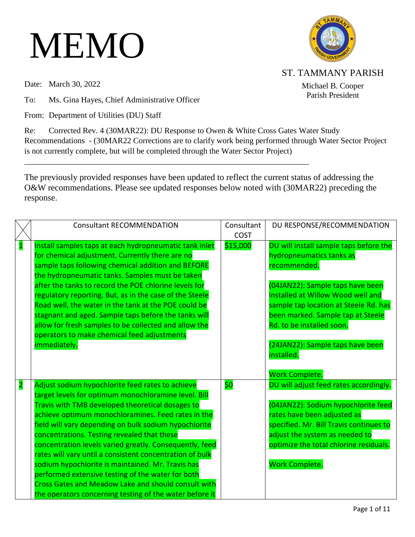## MEMO

Date: March 30, 2022

To: Ms. Gina Hayes, Chief Administrative Officer

From: Department of Utilities (DU) Staff



ST. TAMMANY PARISH

Michael B. Cooper Parish President

Re: Corrected Rev. 4 (30MAR22): DU Response to Owen & White Cross Gates Water Study Recommendations - (30MAR22 Corrections are to clarify work being performed through Water Sector Project is not currently complete, but will be completed through the Water Sector Project)

The previously provided responses have been updated to reflect the current status of addressing the O&W recommendations. Please see updated responses below noted with (30MAR22) preceding the response.

\_\_\_\_\_\_\_\_\_\_\_\_\_\_\_\_\_\_\_\_\_\_\_\_\_\_\_\_\_\_\_\_\_\_\_\_\_\_\_\_\_\_\_\_\_\_\_\_\_\_\_\_\_\_\_\_\_\_\_\_\_\_\_\_\_\_\_\_\_\_

|                         | <b>Consultant RECOMMENDATION</b>                                                                                                                                                                                                                                                                                                                                                                                                                                                                                                                                                                                                                                                     | Consultant<br><b>COST</b> | DU RESPONSE/RECOMMENDATION                                                                                                                                                                                                                                                                                               |
|-------------------------|--------------------------------------------------------------------------------------------------------------------------------------------------------------------------------------------------------------------------------------------------------------------------------------------------------------------------------------------------------------------------------------------------------------------------------------------------------------------------------------------------------------------------------------------------------------------------------------------------------------------------------------------------------------------------------------|---------------------------|--------------------------------------------------------------------------------------------------------------------------------------------------------------------------------------------------------------------------------------------------------------------------------------------------------------------------|
| $\mathbf{1}$            | Install samples taps at each hydropneumatic tank inlet<br>for chemical adjustment. Currently there are no<br>sample taps following chemical addition and BEFORE<br>the hydropneumatic tanks. Samples must be taken<br>after the tanks to record the POE chlorine levels for<br>regulatory reporting. But, as in the case of the Steele<br>Road well, the water in the tank at the POE could be<br>stagnant and aged. Sample taps before the tanks will<br>allow for fresh samples to be collected and allow the<br>operators to make chemical feed adjustments<br>immediately.                                                                                                       | \$15,000                  | DU will install sample taps before the<br>hydropneumatics tanks as<br>recommended.<br>(04JAN22): Sample taps have been<br>installed at Willow Wood well and<br>sample tap location at Steele Rd. has<br>been marked. Sample tap at Steele<br>Rd. to be installed soon.<br>(24JAN22): Sample taps have been<br>installed. |
| $\overline{\mathbf{2}}$ | Adjust sodium hypochlorite feed rates to achieve<br>target levels for optimum monochloramine level. Bill<br>Travis with TMB developed theoretical dosages to<br>achieve optimum monochloramines. Feed rates in the<br>field will vary depending on bulk sodium hypochlorite<br>concentrations. Testing revealed that these<br>concentration levels varied greatly. Consequently, feed<br>rates will vary until a consistent concentration of bulk<br>sodium hypochlorite is maintained. Mr. Travis has<br>performed extensive testing of the water for both<br><b>Cross Gates and Meadow Lake and should consult with</b><br>the operators concerning testing of the water before it | \$0                       | Work Complete.<br>DU will adjust feed rates accordingly.<br>(04JAN22): Sodium hypochlorite feed<br>rates have been adjusted as<br>specified. Mr. Bill Travis continues to<br>adjust the system as needed to<br>optimize the total chlorine residuals.<br>Work Complete.                                                  |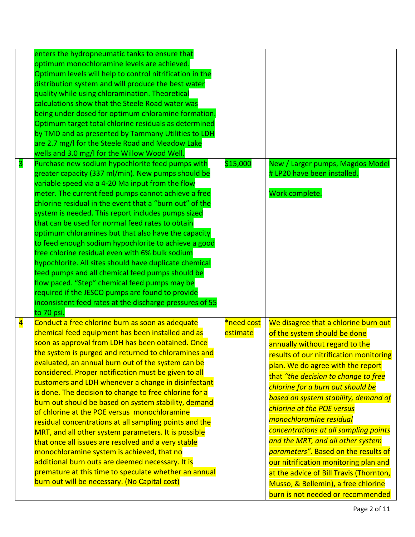| $\overline{\mathbf{3}}$ | enters the hydropneumatic tanks to ensure that<br>optimum monochloramine levels are achieved.<br>Optimum levels will help to control nitrification in the<br>distribution system and will produce the best water<br>quality while using chloramination. Theoretical<br>calculations show that the Steele Road water was<br>being under dosed for optimum chloramine formation.<br>Optimum target total chlorine residuals as determined<br>by TMD and as presented by Tammany Utilities to LDH<br>are 2.7 mg/I for the Steele Road and Meadow Lake<br>wells and 3.0 mg/l for the Willow Wood Well.<br>Purchase new sodium hypochlorite feed pumps with<br>greater capacity (337 ml/min). New pumps should be<br>variable speed via a 4-20 Ma input from the flow<br>meter. The current feed pumps cannot achieve a free<br>chlorine residual in the event that a "burn out" of the<br>system is needed. This report includes pumps sized<br>that can be used for normal feed rates to obtain<br>optimum chloramines but that also have the capacity<br>to feed enough sodium hypochlorite to achieve a good<br>free chlorine residual even with 6% bulk sodium<br>hypochlorite. All sites should have duplicate chemical<br>feed pumps and all chemical feed pumps should be<br>flow paced. "Step" chemical feed pumps may be<br>required if the JESCO pumps are found to provide | \$15,000               | New / Larger pumps, Magdos Model<br># LP20 have been installed.<br>Work complete.                                                                                                                                                                                                                                                                                                                                                                                                                                                                                                                                                                          |
|-------------------------|-----------------------------------------------------------------------------------------------------------------------------------------------------------------------------------------------------------------------------------------------------------------------------------------------------------------------------------------------------------------------------------------------------------------------------------------------------------------------------------------------------------------------------------------------------------------------------------------------------------------------------------------------------------------------------------------------------------------------------------------------------------------------------------------------------------------------------------------------------------------------------------------------------------------------------------------------------------------------------------------------------------------------------------------------------------------------------------------------------------------------------------------------------------------------------------------------------------------------------------------------------------------------------------------------------------------------------------------------------------------------------------|------------------------|------------------------------------------------------------------------------------------------------------------------------------------------------------------------------------------------------------------------------------------------------------------------------------------------------------------------------------------------------------------------------------------------------------------------------------------------------------------------------------------------------------------------------------------------------------------------------------------------------------------------------------------------------------|
| $\overline{\mathbf{4}}$ | inconsistent feed rates at the discharge pressures of 55<br>to 70 psi.<br>Conduct a free chlorine burn as soon as adequate<br>chemical feed equipment has been installed and as<br>soon as approval from LDH has been obtained. Once<br>the system is purged and returned to chloramines and<br>evaluated, an annual burn out of the system can be<br>considered. Proper notification must be given to all<br>customers and LDH whenever a change in disinfectant<br>is done. The decision to change to free chlorine for a<br>burn out should be based on system stability, demand<br>of chlorine at the POE versus monochloramine<br>residual concentrations at all sampling points and the<br>MRT, and all other system parameters. It is possible<br>that once all issues are resolved and a very stable<br>monochloramine system is achieved, that no<br>additional burn outs are deemed necessary. It is<br>premature at this time to speculate whether an annual<br>burn out will be necessary. (No Capital cost)                                                                                                                                                                                                                                                                                                                                                          | *need cost<br>estimate | We disagree that a chlorine burn out<br>of the system should be done<br>annually without regard to the<br>results of our nitrification monitoring<br>plan. We do agree with the report<br>that "the decision to change to free<br>chlorine for a burn out should be<br>based on system stability, demand of<br>chlorine at the POE versus<br>monochloramine residual<br>concentrations at all sampling points<br>and the MRT, and all other system<br>parameters". Based on the results of<br>our nitrification monitoring plan and<br>at the advice of Bill Travis (Thornton,<br>Musso, & Bellemin), a free chlorine<br>burn is not needed or recommended |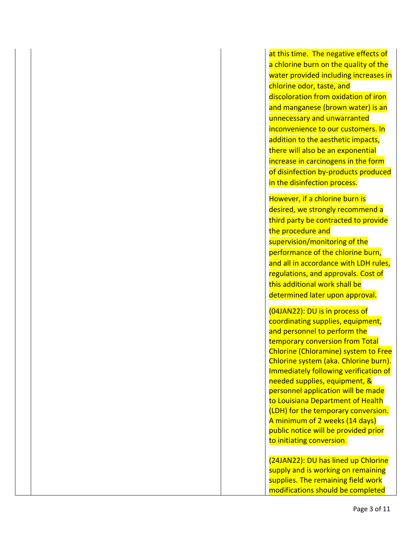at this time. The negative effects of a chlorine burn on the quality of the water provided including increases in chlorine odor, taste, and discoloration from oxidation of iron and manganese (brown water) is an unnecessary and unwarranted inconvenience to our customers. In addition to the aesthetic impacts, there will also be an exponential increase in carcinogens in the form of disinfection by-products produced in the disinfection process.

However, if a chlorine burn is desired, we strongly recommend a third party be contracted to provide the procedure and supervision/monitoring of the performance of the chlorine burn, and all in accordance with LDH rules, regulations, and approvals. Cost of this additional work shall be determined later upon approval.

(04JAN22): DU is in process of coordinating supplies, equipment, and personnel to perform the temporary conversion from Total Chlorine (Chloramine) system to Free Chlorine system (aka. Chlorine burn). Immediately following verification of needed supplies, equipment, & personnel application will be made to Louisiana Department of Health (LDH) for the temporary conversion. A minimum of 2 weeks (14 days) public notice will be provided prior to initiating conversion.

(24JAN22): DU has lined up Chlorine supply and is working on remaining supplies. The remaining field work modifications should be completed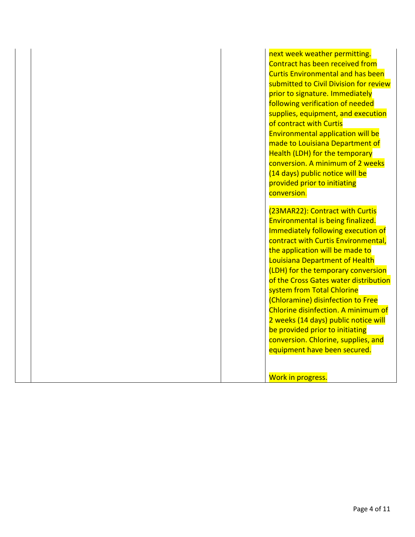next week weather permitting. Contract has been received from Curtis Environmental and has been submitted to Civil Division for review prior to signature. Immediately following verification of needed supplies, equipment, and execution of contract with Curtis Environmental application will be made to Louisiana Department of Health (LDH) for the temporary conversion. A minimum of 2 weeks (14 days) public notice will be provided prior to initiating conversion.

(23MAR22): Contract with Curtis Environmental is being finalized. Immediately following execution of contract with Curtis Environmental, the application will be made to Louisiana Department of Health (LDH) for the temporary conversion of the Cross Gates water distribution system from Total Chlorine (Chloramine) disinfection to Free Chlorine disinfection. A minimum of 2 weeks (14 days) public notice will be provided prior to initiating conversion. Chlorine, supplies, and equipment have been secured.

Work in progress.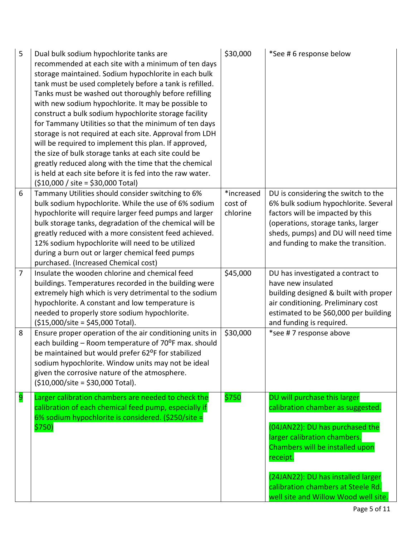| 5              | Dual bulk sodium hypochlorite tanks are<br>recommended at each site with a minimum of ten days<br>storage maintained. Sodium hypochlorite in each bulk<br>tank must be used completely before a tank is refilled.<br>Tanks must be washed out thoroughly before refilling<br>with new sodium hypochlorite. It may be possible to<br>construct a bulk sodium hypochlorite storage facility<br>for Tammany Utilities so that the minimum of ten days<br>storage is not required at each site. Approval from LDH<br>will be required to implement this plan. If approved,<br>the size of bulk storage tanks at each site could be<br>greatly reduced along with the time that the chemical<br>is held at each site before it is fed into the raw water.<br>$($10,000 / site = $30,000 Total)$ | \$30,000                          | *See # 6 response below                                                                                                                                                                                                                                                                                 |
|----------------|--------------------------------------------------------------------------------------------------------------------------------------------------------------------------------------------------------------------------------------------------------------------------------------------------------------------------------------------------------------------------------------------------------------------------------------------------------------------------------------------------------------------------------------------------------------------------------------------------------------------------------------------------------------------------------------------------------------------------------------------------------------------------------------------|-----------------------------------|---------------------------------------------------------------------------------------------------------------------------------------------------------------------------------------------------------------------------------------------------------------------------------------------------------|
| 6              | Tammany Utilities should consider switching to 6%<br>bulk sodium hypochlorite. While the use of 6% sodium<br>hypochlorite will require larger feed pumps and larger<br>bulk storage tanks, degradation of the chemical will be<br>greatly reduced with a more consistent feed achieved.<br>12% sodium hypochlorite will need to be utilized<br>during a burn out or larger chemical feed pumps<br>purchased. (Increased Chemical cost)                                                                                                                                                                                                                                                                                                                                                     | *increased<br>cost of<br>chlorine | DU is considering the switch to the<br>6% bulk sodium hypochlorite. Several<br>factors will be impacted by this<br>(operations, storage tanks, larger<br>sheds, pumps) and DU will need time<br>and funding to make the transition.                                                                     |
| $\overline{7}$ | Insulate the wooden chlorine and chemical feed<br>buildings. Temperatures recorded in the building were<br>extremely high which is very detrimental to the sodium<br>hypochlorite. A constant and low temperature is<br>needed to properly store sodium hypochlorite.<br>$($15,000/site = $45,000 Total).$                                                                                                                                                                                                                                                                                                                                                                                                                                                                                 | \$45,000                          | DU has investigated a contract to<br>have new insulated<br>building designed & built with proper<br>air conditioning. Preliminary cost<br>estimated to be \$60,000 per building<br>and funding is required.                                                                                             |
| 8              | Ensure proper operation of the air conditioning units in<br>each building - Room temperature of 70°F max. should<br>be maintained but would prefer 62°F for stabilized<br>sodium hypochlorite. Window units may not be ideal<br>given the corrosive nature of the atmosphere.<br>$(510,000/site = $30,000 Total).$                                                                                                                                                                                                                                                                                                                                                                                                                                                                         | \$30,000                          | *see #7 response above                                                                                                                                                                                                                                                                                  |
| 9              | Larger calibration chambers are needed to check the<br>calibration of each chemical feed pump, especially if<br>6% sodium hypochlorite is considered. (\$250/site =<br>\$750)                                                                                                                                                                                                                                                                                                                                                                                                                                                                                                                                                                                                              | \$750                             | DU will purchase this larger<br>calibration chamber as suggested.<br>(04JAN22): DU has purchased the<br>larger calibration chambers.<br>Chambers will be installed upon<br>receipt.<br>(24JAN22): DU has installed larger<br>calibration chambers at Steele Rd.<br>well site and Willow Wood well site. |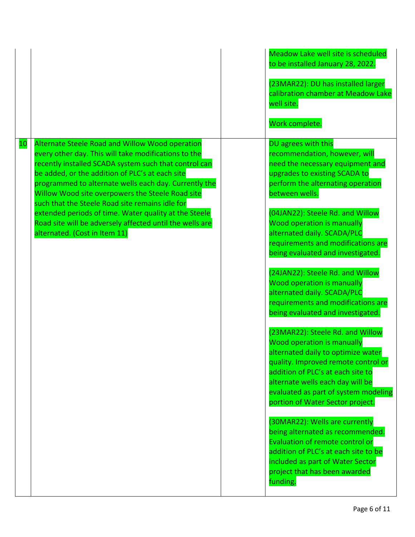| DU agrees with this<br>Alternate Steele Road and Willow Wood operation<br><b>10</b><br>recommendation, however, will<br>every other day. This will take modifications to the<br>recently installed SCADA system such that control can<br>need the necessary equipment and<br>be added, or the addition of PLC's at each site<br>upgrades to existing SCADA to<br>programmed to alternate wells each day. Currently the<br>perform the alternating operation<br>Willow Wood site overpowers the Steele Road site<br>between wells.<br>such that the Steele Road site remains idle for<br>(04JAN22): Steele Rd. and Willow<br>extended periods of time. Water quality at the Steele<br>Road site will be adversely affected until the wells are<br><b>Wood operation is manually</b><br>alternated daily. SCADA/PLC<br>alternated. (Cost in Item 11)<br>being evaluated and investigated.<br>(24JAN22): Steele Rd. and Willow<br><b>Wood operation is manually</b><br>alternated daily. SCADA/PLC<br>being evaluated and investigated.<br>(23MAR22): Steele Rd. and Willow<br><b>Wood operation is manually</b><br>alternated daily to optimize water<br>addition of PLC's at each site to<br>alternate wells each day will be<br>portion of Water Sector project. |  | <b>Meadow Lake well site is scheduled</b><br>to be installed January 28, 2022.<br>(23MAR22): DU has installed larger<br>calibration chamber at Meadow Lake<br>well site.<br>Work complete. |
|------------------------------------------------------------------------------------------------------------------------------------------------------------------------------------------------------------------------------------------------------------------------------------------------------------------------------------------------------------------------------------------------------------------------------------------------------------------------------------------------------------------------------------------------------------------------------------------------------------------------------------------------------------------------------------------------------------------------------------------------------------------------------------------------------------------------------------------------------------------------------------------------------------------------------------------------------------------------------------------------------------------------------------------------------------------------------------------------------------------------------------------------------------------------------------------------------------------------------------------------------------------|--|--------------------------------------------------------------------------------------------------------------------------------------------------------------------------------------------|
| being alternated as recommended.<br>Evaluation of remote control or<br>addition of PLC's at each site to be<br>included as part of Water Sector<br>project that has been awarded<br>funding.                                                                                                                                                                                                                                                                                                                                                                                                                                                                                                                                                                                                                                                                                                                                                                                                                                                                                                                                                                                                                                                                     |  | requirements and modifications are<br>requirements and modifications are<br>quality. Improved remote control or<br>evaluated as part of system modeling<br>(30MAR22): Wells are currently  |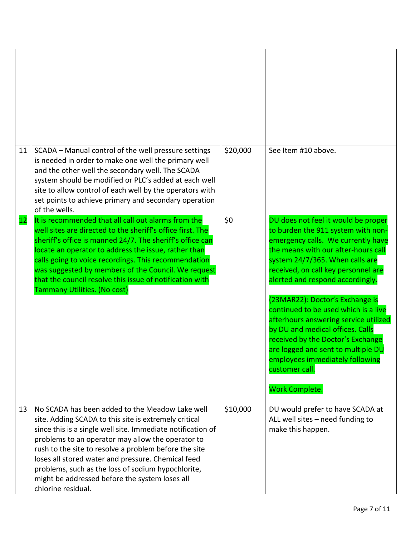| 11 | SCADA - Manual control of the well pressure settings<br>is needed in order to make one well the primary well<br>and the other well the secondary well. The SCADA<br>system should be modified or PLC's added at each well<br>site to allow control of each well by the operators with<br>set points to achieve primary and secondary operation<br>of the wells.                                                                                                           | \$20,000 | See Item #10 above.                                                                                                                                                                                                                                                                                                                                                                                                                                                                                                                                                                   |
|----|---------------------------------------------------------------------------------------------------------------------------------------------------------------------------------------------------------------------------------------------------------------------------------------------------------------------------------------------------------------------------------------------------------------------------------------------------------------------------|----------|---------------------------------------------------------------------------------------------------------------------------------------------------------------------------------------------------------------------------------------------------------------------------------------------------------------------------------------------------------------------------------------------------------------------------------------------------------------------------------------------------------------------------------------------------------------------------------------|
| 12 | It is recommended that all call out alarms from the<br>well sites are directed to the sheriff's office first. The<br>sheriff's office is manned 24/7. The sheriff's office can<br>locate an operator to address the issue, rather than<br>calls going to voice recordings. This recommendation<br>was suggested by members of the Council. We request<br>that the council resolve this issue of notification with<br>Tammany Utilities. (No cost)                         | \$0      | DU does not feel it would be proper<br>to burden the 911 system with non-<br>emergency calls. We currently have<br>the means with our after-hours call<br>system 24/7/365. When calls are<br>received, on call key personnel are<br>alerted and respond accordingly.<br>(23MAR22): Doctor's Exchange is<br>continued to be used which is a live<br>afterhours answering service utilized<br>by DU and medical offices. Calls<br>received by the Doctor's Exchange<br>are logged and sent to multiple DU<br>employees immediately following<br>customer call.<br><b>Work Complete.</b> |
| 13 | No SCADA has been added to the Meadow Lake well<br>site. Adding SCADA to this site is extremely critical<br>since this is a single well site. Immediate notification of<br>problems to an operator may allow the operator to<br>rush to the site to resolve a problem before the site<br>loses all stored water and pressure. Chemical feed<br>problems, such as the loss of sodium hypochlorite,<br>might be addressed before the system loses all<br>chlorine residual. | \$10,000 | DU would prefer to have SCADA at<br>ALL well sites - need funding to<br>make this happen.                                                                                                                                                                                                                                                                                                                                                                                                                                                                                             |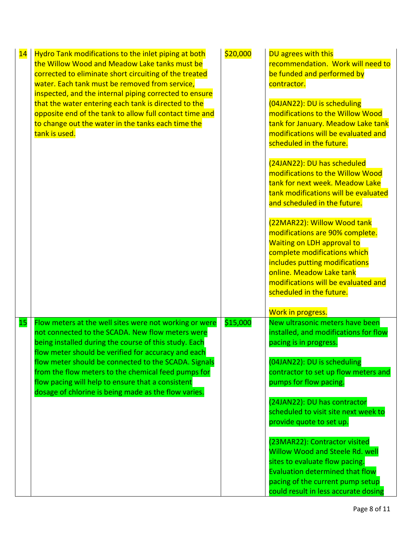| 14 | Hydro Tank modifications to the inlet piping at both<br>the Willow Wood and Meadow Lake tanks must be<br>corrected to eliminate short circuiting of the treated<br>water. Each tank must be removed from service,<br>inspected, and the internal piping corrected to ensure | \$20,000 | DU agrees with this<br>recommendation. Work will need to<br>be funded and performed by<br>contractor.                                                                                                                                                                |
|----|-----------------------------------------------------------------------------------------------------------------------------------------------------------------------------------------------------------------------------------------------------------------------------|----------|----------------------------------------------------------------------------------------------------------------------------------------------------------------------------------------------------------------------------------------------------------------------|
|    | that the water entering each tank is directed to the<br>opposite end of the tank to allow full contact time and<br>to change out the water in the tanks each time the<br>tank is used.                                                                                      |          | (04JAN22): DU is scheduling<br>modifications to the Willow Wood<br>tank for January. Meadow Lake tank<br>modifications will be evaluated and<br>scheduled in the future.                                                                                             |
|    |                                                                                                                                                                                                                                                                             |          | (24JAN22): DU has scheduled<br>modifications to the Willow Wood<br>tank for next week. Meadow Lake<br>tank modifications will be evaluated<br>and scheduled in the future.                                                                                           |
|    |                                                                                                                                                                                                                                                                             |          | (22MAR22): Willow Wood tank<br>modifications are 90% complete.<br><b>Waiting on LDH approval to</b><br>complete modifications which<br>includes putting modifications<br>online. Meadow Lake tank<br>modifications will be evaluated and<br>scheduled in the future. |
|    |                                                                                                                                                                                                                                                                             |          | Work in progress.                                                                                                                                                                                                                                                    |
| 15 | Flow meters at the well sites were not working or were<br>not connected to the SCADA. New flow meters were<br>being installed during the course of this study. Each<br>flow meter should be verified for accuracy and each                                                  | \$15,000 | New ultrasonic meters have been<br>installed, and modifications for flow<br>pacing is in progress.                                                                                                                                                                   |
|    | flow meter should be connected to the SCADA. Signals<br>from the flow meters to the chemical feed pumps for<br>flow pacing will help to ensure that a consistent<br>dosage of chlorine is being made as the flow varies.                                                    |          | (04JAN22): DU is scheduling<br>contractor to set up flow meters and<br>pumps for flow pacing.                                                                                                                                                                        |
|    |                                                                                                                                                                                                                                                                             |          | (24JAN22): DU has contractor<br>scheduled to visit site next week to<br>provide quote to set up.                                                                                                                                                                     |
|    |                                                                                                                                                                                                                                                                             |          | (23MAR22): Contractor visited<br><b>Willow Wood and Steele Rd. well</b><br>sites to evaluate flow pacing.<br><b>Evaluation determined that flow</b><br>pacing of the current pump setup                                                                              |
|    |                                                                                                                                                                                                                                                                             |          | could result in less accurate dosing                                                                                                                                                                                                                                 |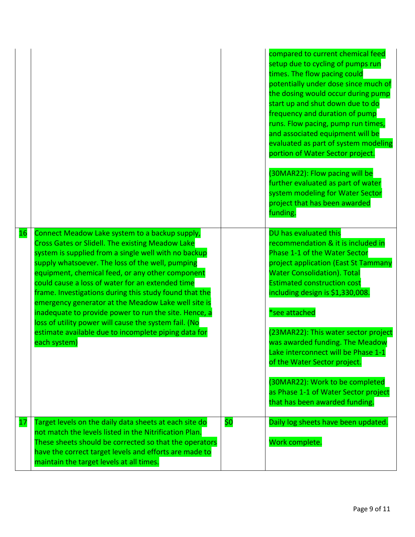|           |                                                                                                                                                                                                                                                                                                                                                                                                                                                                                                                                                                                                                                          |     | compared to current chemical feed<br>setup due to cycling of pumps run<br>times. The flow pacing could<br>potentially under dose since much of<br>the dosing would occur during pump<br>start up and shut down due to do<br>frequency and duration of pump<br>runs. Flow pacing, pump run times,<br>and associated equipment will be<br>evaluated as part of system modeling<br>portion of Water Sector project.<br>(30MAR22): Flow pacing will be<br>further evaluated as part of water<br>system modeling for Water Sector<br>project that has been awarded<br>funding. |
|-----------|------------------------------------------------------------------------------------------------------------------------------------------------------------------------------------------------------------------------------------------------------------------------------------------------------------------------------------------------------------------------------------------------------------------------------------------------------------------------------------------------------------------------------------------------------------------------------------------------------------------------------------------|-----|---------------------------------------------------------------------------------------------------------------------------------------------------------------------------------------------------------------------------------------------------------------------------------------------------------------------------------------------------------------------------------------------------------------------------------------------------------------------------------------------------------------------------------------------------------------------------|
| 16        | Connect Meadow Lake system to a backup supply,<br><b>Cross Gates or Slidell. The existing Meadow Lake</b><br>system is supplied from a single well with no backup<br>supply whatsoever. The loss of the well, pumping<br>equipment, chemical feed, or any other component<br>could cause a loss of water for an extended time<br>frame. Investigations during this study found that the<br>emergency generator at the Meadow Lake well site is<br>inadequate to provide power to run the site. Hence, a<br>loss of utility power will cause the system fail. (No<br>estimate available due to incomplete piping data for<br>each system) |     | DU has evaluated this<br>recommendation & it is included in<br>Phase 1-1 of the Water Sector<br>project application (East St Tammany<br><b>Water Consolidation). Total</b><br><b>Estimated construction cost</b><br>including design is \$1,330,008.<br>*see attached<br>(23MAR22): This water sector project<br>was awarded funding. The Meadow<br>Lake interconnect will be Phase 1-1<br>of the Water Sector project.<br>(30MAR22): Work to be completed<br>as Phase 1-1 of Water Sector project<br>that has been awarded funding.                                      |
| <u>17</u> | Target levels on the daily data sheets at each site do<br>not match the levels listed in the Nitrification Plan.<br>These sheets should be corrected so that the operators<br>have the correct target levels and efforts are made to<br>maintain the target levels at all times.                                                                                                                                                                                                                                                                                                                                                         | \$0 | Daily log sheets have been updated.<br>Work complete.                                                                                                                                                                                                                                                                                                                                                                                                                                                                                                                     |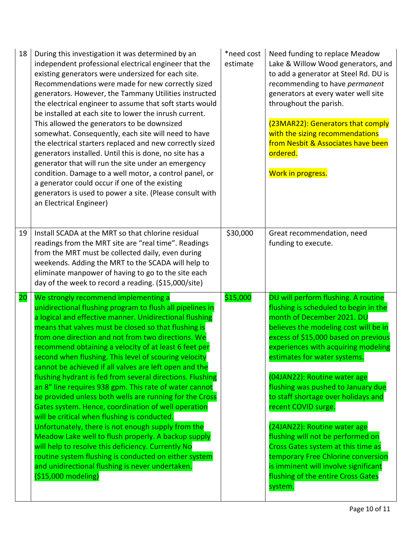| 18        | During this investigation it was determined by an<br>independent professional electrical engineer that the<br>existing generators were undersized for each site.<br>Recommendations were made for new correctly sized<br>generators. However, the Tammany Utilities instructed<br>the electrical engineer to assume that soft starts would<br>be installed at each site to lower the inrush current.<br>This allowed the generators to be downsized<br>somewhat. Consequently, each site will need to have<br>the electrical starters replaced and new correctly sized<br>generators installed. Until this is done, no site has a<br>generator that will run the site under an emergency<br>condition. Damage to a well motor, a control panel, or<br>a generator could occur if one of the existing<br>generators is used to power a site. (Please consult with<br>an Electrical Engineer)                                                                                                                                                             | *need cost<br>estimate | Need funding to replace Meadow<br>Lake & Willow Wood generators, and<br>to add a generator at Steel Rd. DU is<br>recommending to have permanent<br>generators at every water well site<br>throughout the parish.<br>(23MAR22): Generators that comply<br>with the sizing recommendations<br>from Nesbit & Associates have been<br>ordered.<br>Work in progress.                                                                                                                                                                                                                                                                                  |
|-----------|---------------------------------------------------------------------------------------------------------------------------------------------------------------------------------------------------------------------------------------------------------------------------------------------------------------------------------------------------------------------------------------------------------------------------------------------------------------------------------------------------------------------------------------------------------------------------------------------------------------------------------------------------------------------------------------------------------------------------------------------------------------------------------------------------------------------------------------------------------------------------------------------------------------------------------------------------------------------------------------------------------------------------------------------------------|------------------------|--------------------------------------------------------------------------------------------------------------------------------------------------------------------------------------------------------------------------------------------------------------------------------------------------------------------------------------------------------------------------------------------------------------------------------------------------------------------------------------------------------------------------------------------------------------------------------------------------------------------------------------------------|
| 19        | Install SCADA at the MRT so that chlorine residual<br>readings from the MRT site are "real time". Readings<br>from the MRT must be collected daily, even during<br>weekends. Adding the MRT to the SCADA will help to<br>eliminate manpower of having to go to the site each<br>day of the week to record a reading. (\$15,000/site)                                                                                                                                                                                                                                                                                                                                                                                                                                                                                                                                                                                                                                                                                                                    | \$30,000               | Great recommendation, need<br>funding to execute.                                                                                                                                                                                                                                                                                                                                                                                                                                                                                                                                                                                                |
| <b>20</b> | We strongly recommend implementing a<br>unidirectional flushing program to flush all pipelines in<br>a logical and effective manner. Unidirectional flushing<br>means that valves must be closed so that flushing is<br>from one direction and not from two directions. We<br>recommend obtaining a velocity of at least 6 feet per<br>second when flushing. This level of scouring velocity<br>cannot be achieved if all valves are left open and the<br>flushing hydrant is fed from several directions. Flushing<br>an 8" line requires 938 gpm. This rate of water cannot<br>be provided unless both wells are running for the Cross<br>Gates system. Hence, coordination of well operation<br>will be critical when flushing is conducted.<br>Unfortunately, there is not enough supply from the<br>Meadow Lake well to flush properly. A backup supply<br>will help to resolve this deficiency. Currently No<br>routine system flushing is conducted on either system<br>and unidirectional flushing is never undertaken.<br>$($15,000$ modeling) | \$15,000               | DU will perform flushing. A routine<br>flushing is scheduled to begin in the<br>month of December 2021. DU<br>believes the modeling cost will be in<br>excess of \$15,000 based on previous<br>experiences with acquiring modeling<br>estimates for water systems.<br>(04JAN22): Routine water age<br>flushing was pushed to January due<br>to staff shortage over holidays and<br>recent COVID surge.<br>(24JAN22): Routine water age<br>flushing will not be performed on<br>Cross Gates system at this time as<br>temporary Free Chlorine conversion<br>is imminent will involve significant<br>flushing of the entire Cross Gates<br>system. |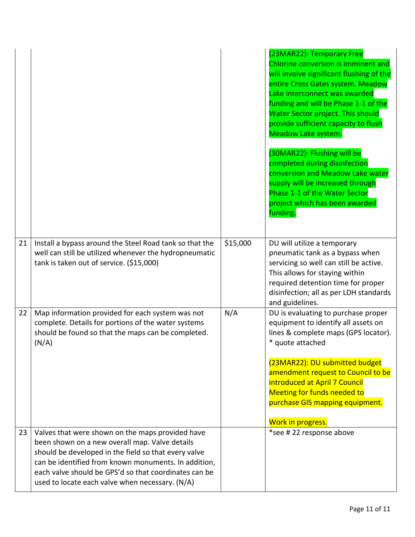|    |                                                                                                                                                                                                                                                                                                                                |          | (23MAR22): Temporary Free<br>Chlorine conversion is imminent and<br>will involve significant flushing of the<br>entire Cross Gates system. Meadow<br>Lake interconnect was awarded<br>funding and will be Phase 1-1 of the<br>Water Sector project. This should<br>provide sufficient capacity to flush<br>Meadow Lake system.<br>(30MAR22): Flushing will be<br>completed during disinfection<br>conversion and Meadow Lake water<br>supply will be increased through<br>Phase 1-1 of the Water Sector<br>project which has been awarded<br>funding. |
|----|--------------------------------------------------------------------------------------------------------------------------------------------------------------------------------------------------------------------------------------------------------------------------------------------------------------------------------|----------|-------------------------------------------------------------------------------------------------------------------------------------------------------------------------------------------------------------------------------------------------------------------------------------------------------------------------------------------------------------------------------------------------------------------------------------------------------------------------------------------------------------------------------------------------------|
| 21 | Install a bypass around the Steel Road tank so that the<br>well can still be utilized whenever the hydropneumatic<br>tank is taken out of service. (\$15,000)                                                                                                                                                                  | \$15,000 | DU will utilize a temporary<br>pneumatic tank as a bypass when<br>servicing so well can still be active.<br>This allows for staying within<br>required detention time for proper<br>disinfection; all as per LDH standards<br>and guidelines.                                                                                                                                                                                                                                                                                                         |
| 22 | Map information provided for each system was not<br>complete. Details for portions of the water systems<br>should be found so that the maps can be completed.<br>(N/A)                                                                                                                                                         | N/A      | DU is evaluating to purchase proper<br>equipment to identify all assets on<br>lines & complete maps (GPS locator).<br>* quote attached<br>(23MAR22): DU submitted budget<br>amendment request to Council to be<br>introduced at April 7 Council<br><b>Meeting for funds needed to</b><br>purchase GIS mapping equipment.<br>Work in progress.                                                                                                                                                                                                         |
| 23 | Valves that were shown on the maps provided have<br>been shown on a new overall map. Valve details<br>should be developed in the field so that every valve<br>can be identified from known monuments. In addition,<br>each valve should be GPS'd so that coordinates can be<br>used to locate each valve when necessary. (N/A) |          | *see # 22 response above                                                                                                                                                                                                                                                                                                                                                                                                                                                                                                                              |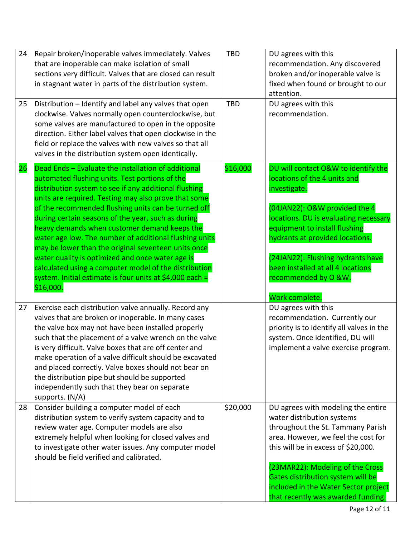| 24 | Repair broken/inoperable valves immediately. Valves<br>that are inoperable can make isolation of small<br>sections very difficult. Valves that are closed can result<br>in stagnant water in parts of the distribution system.                                                                                                                                                                                                                                                                                                                                                                                                                                                             | <b>TBD</b> | DU agrees with this<br>recommendation. Any discovered<br>broken and/or inoperable valve is<br>fixed when found or brought to our<br>attention.                                                                                                                                                                                                        |
|----|--------------------------------------------------------------------------------------------------------------------------------------------------------------------------------------------------------------------------------------------------------------------------------------------------------------------------------------------------------------------------------------------------------------------------------------------------------------------------------------------------------------------------------------------------------------------------------------------------------------------------------------------------------------------------------------------|------------|-------------------------------------------------------------------------------------------------------------------------------------------------------------------------------------------------------------------------------------------------------------------------------------------------------------------------------------------------------|
| 25 | Distribution - Identify and label any valves that open<br>clockwise. Valves normally open counterclockwise, but<br>some valves are manufactured to open in the opposite<br>direction. Either label valves that open clockwise in the<br>field or replace the valves with new valves so that all<br>valves in the distribution system open identically.                                                                                                                                                                                                                                                                                                                                     | <b>TBD</b> | DU agrees with this<br>recommendation.                                                                                                                                                                                                                                                                                                                |
| 26 | Dead Ends - Evaluate the installation of additional<br>automated flushing units. Test portions of the<br>distribution system to see if any additional flushing<br>units are required. Testing may also prove that some<br>of the recommended flushing units can be turned off<br>during certain seasons of the year, such as during<br>heavy demands when customer demand keeps the<br>water age low. The number of additional flushing units<br>may be lower than the original seventeen units once<br>water quality is optimized and once water age is<br>calculated using a computer model of the distribution<br>system. Initial estimate is four units at \$4,000 each =<br>\$16,000. | \$16,000   | DU will contact O&W to identify the<br>locations of the 4 units and<br>investigate.<br>(04JAN22): O&W provided the 4<br>locations. DU is evaluating necessary<br>equipment to install flushing<br>hydrants at provided locations.<br>(24JAN22): Flushing hydrants have<br>been installed at all 4 locations<br>recommended by O &W.<br>Work complete. |
| 27 | Exercise each distribution valve annually. Record any<br>valves that are broken or inoperable. In many cases<br>the valve box may not have been installed properly<br>such that the placement of a valve wrench on the valve<br>is very difficult. Valve boxes that are off center and<br>make operation of a valve difficult should be excavated<br>and placed correctly. Valve boxes should not bear on<br>the distribution pipe but should be supported<br>independently such that they bear on separate<br>supports. (N/A)                                                                                                                                                             |            | DU agrees with this<br>recommendation. Currently our<br>priority is to identify all valves in the<br>system. Once identified, DU will<br>implement a valve exercise program.                                                                                                                                                                          |
| 28 | Consider building a computer model of each<br>distribution system to verify system capacity and to<br>review water age. Computer models are also<br>extremely helpful when looking for closed valves and<br>to investigate other water issues. Any computer model<br>should be field verified and calibrated.                                                                                                                                                                                                                                                                                                                                                                              | \$20,000   | DU agrees with modeling the entire<br>water distribution systems<br>throughout the St. Tammany Parish<br>area. However, we feel the cost for<br>this will be in excess of \$20,000.<br>(23MAR22): Modeling of the Cross<br>Gates distribution system will be<br>included in the Water Sector project<br>that recently was awarded funding.            |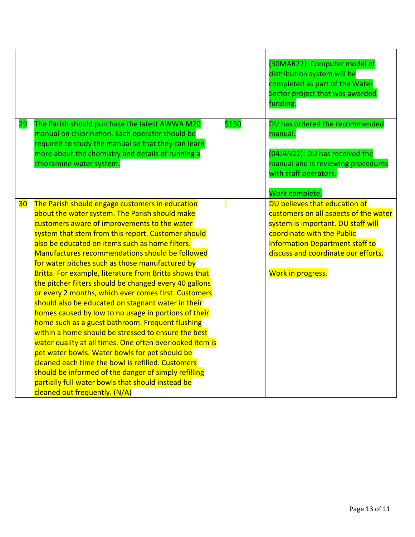|                 |                                                                                                                                                                                                                                                                                                                                                                                                                                                                                                                                                                                                                                                                                                                                                                                                                                                                                                                                                                                                                                                                                        |       | (30MAR22): Computer model of<br>distribution system will be<br>completed as part of the Water<br>Sector project that was awarded<br>funding.                                                                                              |
|-----------------|----------------------------------------------------------------------------------------------------------------------------------------------------------------------------------------------------------------------------------------------------------------------------------------------------------------------------------------------------------------------------------------------------------------------------------------------------------------------------------------------------------------------------------------------------------------------------------------------------------------------------------------------------------------------------------------------------------------------------------------------------------------------------------------------------------------------------------------------------------------------------------------------------------------------------------------------------------------------------------------------------------------------------------------------------------------------------------------|-------|-------------------------------------------------------------------------------------------------------------------------------------------------------------------------------------------------------------------------------------------|
| 29              | The Parish should purchase the latest AWWA M20<br>manual on chlorination. Each operator should be<br>required to study the manual so that they can learn<br>more about the chemistry and details of running a<br>chloramine water system.                                                                                                                                                                                                                                                                                                                                                                                                                                                                                                                                                                                                                                                                                                                                                                                                                                              | \$150 | DU has ordered the recommended<br>manual.<br>(04JAN22): DU has received the<br>manual and is reviewing procedures<br>with staff operators.<br>Work complete.                                                                              |
| 30 <sub>o</sub> | The Parish should engage customers in education<br>about the water system. The Parish should make<br>customers aware of improvements to the water<br>system that stem from this report. Customer should<br>also be educated on items such as home filters.<br>Manufactures recommendations should be followed<br>for water pitches such as those manufactured by<br>Britta. For example, literature from Britta shows that<br>the pitcher filters should be changed every 40 gallons<br>or every 2 months, which ever comes first. Customers<br>should also be educated on stagnant water in their<br>homes caused by low to no usage in portions of their<br>home such as a guest bathroom. Frequent flushing<br>within a home should be stressed to ensure the best<br>water quality at all times. One often overlooked item is<br>pet water bowls. Water bowls for pet should be<br>cleaned each time the bowl is refilled. Customers<br>should be informed of the danger of simply refilling<br>partially full water bowls that should instead be<br>cleaned out frequently. (N/A) |       | DU believes that education of<br>customers on all aspects of the water<br>system is important. DU staff will<br>coordinate with the Public<br>Information Department staff to<br>discuss and coordinate our efforts.<br>Work in progress. |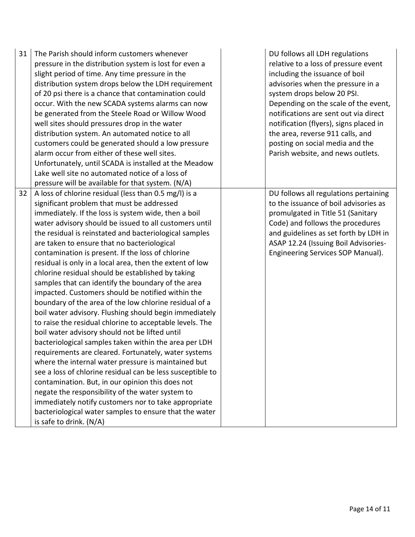| 31 | The Parish should inform customers whenever<br>pressure in the distribution system is lost for even a<br>slight period of time. Any time pressure in the<br>distribution system drops below the LDH requirement<br>of 20 psi there is a chance that contamination could<br>occur. With the new SCADA systems alarms can now<br>be generated from the Steele Road or Willow Wood<br>well sites should pressures drop in the water<br>distribution system. An automated notice to all<br>customers could be generated should a low pressure<br>alarm occur from either of these well sites.<br>Unfortunately, until SCADA is installed at the Meadow<br>Lake well site no automated notice of a loss of<br>pressure will be available for that system. (N/A)                                                                                                                                                                                                                                                                                                                                                                                                                                                                                                                                                                                   | DU follows all LDH regulations<br>relative to a loss of pressure event<br>including the issuance of boil<br>advisories when the pressure in a<br>system drops below 20 PSI.<br>Depending on the scale of the event,<br>notifications are sent out via direct<br>notification (flyers), signs placed in<br>the area, reverse 911 calls, and<br>posting on social media and the<br>Parish website, and news outlets. |
|----|----------------------------------------------------------------------------------------------------------------------------------------------------------------------------------------------------------------------------------------------------------------------------------------------------------------------------------------------------------------------------------------------------------------------------------------------------------------------------------------------------------------------------------------------------------------------------------------------------------------------------------------------------------------------------------------------------------------------------------------------------------------------------------------------------------------------------------------------------------------------------------------------------------------------------------------------------------------------------------------------------------------------------------------------------------------------------------------------------------------------------------------------------------------------------------------------------------------------------------------------------------------------------------------------------------------------------------------------|--------------------------------------------------------------------------------------------------------------------------------------------------------------------------------------------------------------------------------------------------------------------------------------------------------------------------------------------------------------------------------------------------------------------|
| 32 | A loss of chlorine residual (less than 0.5 mg/l) is a<br>significant problem that must be addressed<br>immediately. If the loss is system wide, then a boil<br>water advisory should be issued to all customers until<br>the residual is reinstated and bacteriological samples<br>are taken to ensure that no bacteriological<br>contamination is present. If the loss of chlorine<br>residual is only in a local area, then the extent of low<br>chlorine residual should be established by taking<br>samples that can identify the boundary of the area<br>impacted. Customers should be notified within the<br>boundary of the area of the low chlorine residual of a<br>boil water advisory. Flushing should begin immediately<br>to raise the residual chlorine to acceptable levels. The<br>boil water advisory should not be lifted until<br>bacteriological samples taken within the area per LDH<br>requirements are cleared. Fortunately, water systems<br>where the internal water pressure is maintained but<br>see a loss of chlorine residual can be less susceptible to<br>contamination. But, in our opinion this does not<br>negate the responsibility of the water system to<br>immediately notify customers nor to take appropriate<br>bacteriological water samples to ensure that the water<br>is safe to drink. (N/A) | DU follows all regulations pertaining<br>to the issuance of boil advisories as<br>promulgated in Title 51 (Sanitary<br>Code) and follows the procedures<br>and guidelines as set forth by LDH in<br>ASAP 12.24 (Issuing Boil Advisories-<br>Engineering Services SOP Manual).                                                                                                                                      |